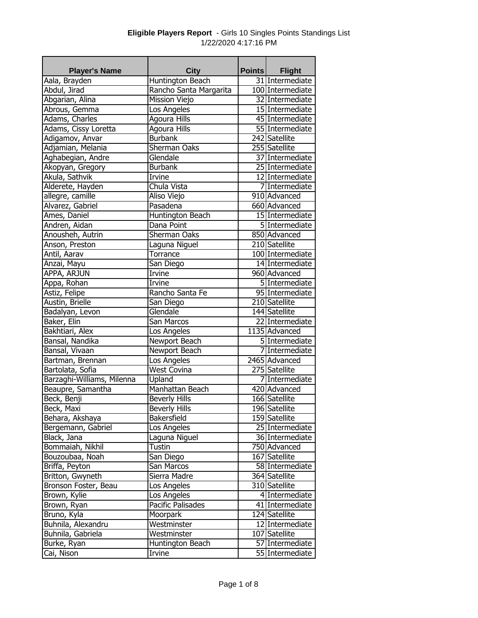| <b>Player's Name</b>       | <b>City</b>            | <b>Points</b> | <b>Flight</b>                     |
|----------------------------|------------------------|---------------|-----------------------------------|
| Aala, Brayden              | Huntington Beach       |               | 31 Intermediate                   |
| Abdul, Jirad               | Rancho Santa Margarita |               | 100 Intermediate                  |
| Abgarian, Alina            | <b>Mission Viejo</b>   |               | 32 Intermediate                   |
| Abrous, Gemma              | Los Angeles            |               | 15 Intermediate                   |
| Adams, Charles             | <b>Agoura Hills</b>    |               | 45 Intermediate                   |
| Adams, Cissy Loretta       | Agoura Hills           |               | 55 Intermediate                   |
| Adigamov, Anvar            | <b>Burbank</b>         |               | 242 Satellite                     |
| Adjamian, Melania          | Sherman Oaks           |               | 255 Satellite                     |
| Aghabegian, Andre          | Glendale               |               | 37 Intermediate                   |
| Akopyan, Gregory           | <b>Burbank</b>         |               | 25 Intermediate                   |
| Akula, Sathvik             | Irvine                 |               | 12 Intermediate                   |
| Alderete, Hayden           | Chula Vista            |               | 7 Intermediate                    |
| allegre, camille           | Aliso Viejo            |               | 910 Advanced                      |
| Alvarez, Gabriel           | Pasadena               |               | 660 Advanced                      |
| Ames, Daniel               | Huntington Beach       |               | 15 Intermediate                   |
| Andren, Aidan              | Dana Point             |               | 5 Intermediate                    |
| Anousheh, Autrin           | Sherman Oaks           |               | 850 Advanced                      |
| Anson, Preston             | Laguna Niguel          |               | 210 Satellite                     |
| Antil, Aarav               | Torrance               |               | 100 Intermediate                  |
| Anzai, Mayu                | San Diego              |               | 14 Intermediate                   |
| APPA, ARJUN                | Irvine                 |               | 960 Advanced                      |
| Appa, Rohan                | Irvine                 |               | 5 Intermediate                    |
| Astiz, Felipe              | Rancho Santa Fe        |               | 95 Intermediate                   |
| Austin, Brielle            | San Diego              |               | 210 Satellite                     |
| Badalyan, Levon            | Glendale               |               | 144 Satellite                     |
| Baker, Elin                | San Marcos             |               | 22 Intermediate                   |
| Bakhtiari, Alex            | Los Angeles            |               | 1135 Advanced                     |
| Bansal, Nandika            | Newport Beach          |               | 5 Intermediate                    |
| Bansal, Vivaan             | Newport Beach          |               | 7 Intermediate                    |
| Bartman, Brennan           | Los Angeles            |               | 2465 Advanced                     |
| Bartolata, Sofia           | <b>West Covina</b>     |               | 275 Satellite                     |
| Barzaghi-Williams, Milenna | Upland                 |               | 7 Intermediate                    |
| Beaupre, Samantha          | Manhattan Beach        |               | 420 Advanced                      |
| Beck, Benji                | <b>Beverly Hills</b>   |               | 166 Satellite                     |
| Beck, Maxi                 | <b>Beverly Hills</b>   |               | 196 Satellite                     |
| Behara, Akshaya            | Bakersfield            |               | 159 Satellite                     |
| Bergemann, Gabriel         | Los Angeles            |               | 25 Intermediate                   |
| Black, Jana                | Laguna Niguel          |               | 36 Intermediate                   |
| Bommaiah, Nikhil           | Tustin                 |               | 750 Advanced                      |
| Bouzoubaa, Noah            | San Diego              |               | 167 Satellite                     |
| Briffa, Peyton             | San Marcos             |               | 58 Intermediate                   |
|                            | Sierra Madre           |               | 364 Satellite                     |
| Britton, Gwyneth           |                        |               |                                   |
| Bronson Foster, Beau       | Los Angeles            |               | 310 Satellite                     |
| Brown, Kylie               | Los Angeles            |               | 4 Intermediate<br>41 Intermediate |
| Brown, Ryan                | Pacific Palisades      |               |                                   |
| Bruno, Kyla                | Moorpark               |               | 124 Satellite                     |
| Buhnila, Alexandru         | Westminster            |               | 12 Intermediate                   |
| Buhnila, Gabriela          | Westminster            |               | 107 Satellite                     |
| Burke, Ryan                | Huntington Beach       |               | 57 Intermediate                   |
| Cai, Nison                 | Irvine                 |               | 55 Intermediate                   |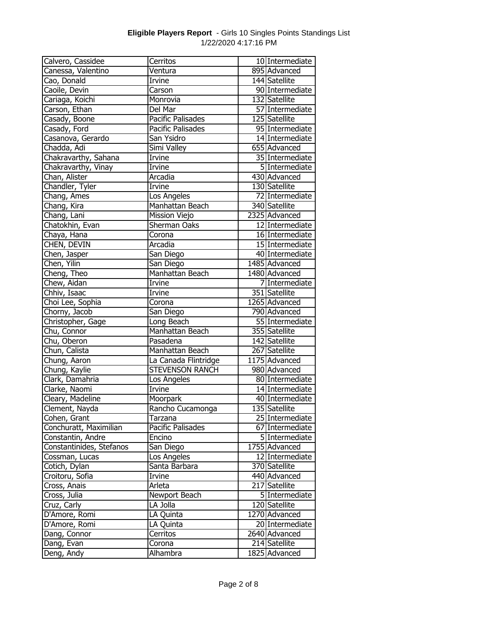| Calvero, Cassidee        | Cerritos                 | 10 Intermediate            |
|--------------------------|--------------------------|----------------------------|
| Canessa, Valentino       | Ventura                  | 895 Advanced               |
| Cao, Donald              | Irvine                   | 144 Satellite              |
| Caoile, Devin            | Carson                   | 90 Intermediate            |
| Cariaga, Koichi          | Monrovia                 | 132 Satellite              |
| Carson, Ethan            | Del Mar                  | 57 Intermediate            |
| Casady, Boone            | Pacific Palisades        | 125 Satellite              |
| Casady, Ford             | <b>Pacific Palisades</b> | 95 Intermediate            |
| Casanova, Gerardo        | San Ysidro               | 14 Intermediate            |
| Chadda, Adi              | Simi Valley              | 655 Advanced               |
| Chakravarthy, Sahana     | Irvine                   | 35 Intermediate            |
| Chakravarthy, Vinay      | Irvine                   | 5 Intermediate             |
| Chan, Alister            | Arcadia                  | 430 Advanced               |
| Chandler, Tyler          | Irvine                   | 130 Satellite              |
| Chang, Ames              | Los Angeles              | 72 Intermediate            |
| Chang, Kira              | Manhattan Beach          | 340 Satellite              |
| Chang, Lani              | Mission Viejo            | 2325 Advanced              |
| Chatokhin, Evan          | Sherman Oaks             | 12 Intermediate            |
| Chaya, Hana              | Corona                   | 16 Intermediate            |
| CHEN, DEVIN              | Arcadia                  | 15 Intermediate            |
| Chen, Jasper             | San Diego                | 40 Intermediate            |
| Chen, Yilin              | San Diego                | 1485 Advanced              |
| Cheng, Theo              | Manhattan Beach          | 1480 Advanced              |
| Chew, Aidan              | Irvine                   | 7 Intermediate             |
| Chhiv, Isaac             | Irvine                   | 351 Satellite              |
| Choi Lee, Sophia         | Corona                   | 1265 Advanced              |
| Chorny, Jacob            | San Diego                | 790 Advanced               |
| Christopher, Gage        | Long Beach               | 55 Intermediate            |
| Chu, Connor              | Manhattan Beach          | 355 Satellite              |
| Chu, Oberon              | Pasadena                 | 142 Satellite              |
| Chun, Calista            | Manhattan Beach          | 267 Satellite              |
| Chung, Aaron             | La Canada Flintridge     | 1175 Advanced              |
| Chung, Kaylie            | <b>STEVENSON RANCH</b>   | 980 Advanced               |
| Clark, Damahria          | Los Angeles              | 80 Intermediate            |
| Clarke, Naomi            | Irvine                   | 14 Intermediate            |
| Cleary, Madeline         | Moorpark                 | 40 Intermediate            |
| Clement, Nayda           | Rancho Cucamonga         | 135 Satellite              |
| Cohen, Grant             | Tarzana                  | 25 Intermediate            |
| Conchuratt, Maximilian   | Pacific Palisades        | 67 Intermediate            |
| Constantin, Andre        | Encino                   | 5 Intermediate             |
| Constantinides, Stefanos | San Diego                | 1755 Advanced              |
| Cossman, Lucas           | Los Angeles              | 12 Intermediate            |
| Cotich, Dylan            | Santa Barbara            | 370 Satellite              |
| Croitoru, Sofia          | Irvine                   | 440 Advanced               |
| Cross, Anais             | Arleta                   | $\overline{217}$ Satellite |
| Cross, Julia             | Newport Beach            | 5 Intermediate             |
| Cruz, Carly              | LA Jolla                 | 120 Satellite              |
| D'Amore, Romi            | LA Quinta                | 1270 Advanced              |
| D'Amore, Romi            | LA Quinta                | 20 Intermediate            |
| Dang, Connor             | Cerritos                 | 2640 Advanced              |
| Dang, Evan               | Corona                   | 214 Satellite              |
| Deng, Andy               | Alhambra                 | $1825$ Advanced            |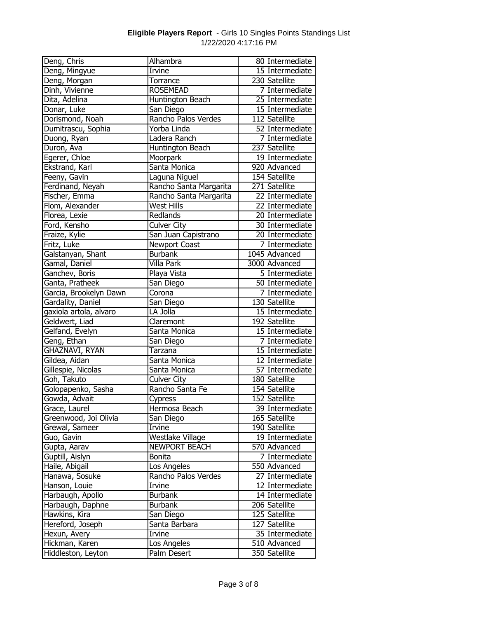| Deng, Chris            | Alhambra               | 80 Intermediate |
|------------------------|------------------------|-----------------|
| Deng, Mingyue          | Irvine                 | 15 Intermediate |
| Deng, Morgan           | Torrance               | 230 Satellite   |
| Dinh, Vivienne         | <b>ROSEMEAD</b>        | 7 Intermediate  |
| Dita, Adelina          | Huntington Beach       | 25 Intermediate |
| Donar, Luke            | San Diego              | 15 Intermediate |
| Dorismond, Noah        | Rancho Palos Verdes    | 112 Satellite   |
| Dumitrascu, Sophia     | Yorba Linda            | 52 Intermediate |
| Duong, Ryan            | Ladera Ranch           | 7 Intermediate  |
| Duron, Ava             | Huntington Beach       | 237 Satellite   |
| Egerer, Chloe          | Moorpark               | 19 Intermediate |
| Ekstrand, Karl         | Santa Monica           | 920 Advanced    |
| Feeny, Gavin           | Laguna Niguel          | 154 Satellite   |
| Ferdinand, Neyah       | Rancho Santa Margarita | 271 Satellite   |
| Fischer, Emma          | Rancho Santa Margarita | 22 Intermediate |
| Flom, Alexander        | <b>West Hills</b>      | 22 Intermediate |
| Florea, Lexie          | Redlands               | 20 Intermediate |
| Ford, Kensho           | <b>Culver City</b>     | 30 Intermediate |
| Fraize, Kylie          | San Juan Capistrano    | 20 Intermediate |
| Fritz, Luke            | Newport Coast          | 7 Intermediate  |
| Galstanyan, Shant      | <b>Burbank</b>         | $1045$ Advanced |
| Gamal, Daniel          | Villa Park             | 3000 Advanced   |
| Ganchev, Boris         | Playa Vista            | 5 Intermediate  |
| Ganta, Pratheek        | San Diego              | 50 Intermediate |
| Garcia, Brookelyn Dawn | Corona                 | 7 Intermediate  |
| Gardality, Daniel      | San Diego              | 130 Satellite   |
| gaxiola artola, alvaro | LA Jolla               | 15 Intermediate |
| Geldwert, Liad         | Claremont              | 192 Satellite   |
| Gelfand, Evelyn        | Santa Monica           | 15 Intermediate |
| Geng, Ethan            | San Diego              | 7 Intermediate  |
| GHAZNAVI, RYAN         | Tarzana                | 15 Intermediate |
| Gildea, Aidan          | Santa Monica           | 12 Intermediate |
| Gillespie, Nicolas     | Santa Monica           | 57 Intermediate |
| Goh, Takuto            | <b>Culver City</b>     | 180 Satellite   |
| Golopapenko, Sasha     | Rancho Santa Fe        | 154 Satellite   |
| Gowda, Advait          | Cypress                | 152 Satellite   |
| Grace, Laurel          | Hermosa Beach          | 39 Intermediate |
| Greenwood, Joi Olivia  | San Diego              | 165 Satellite   |
| Grewal, Sameer         | Irvine                 | 190 Satellite   |
| Guo, Gavin             | Westlake Village       | 19 Intermediate |
| Gupta, Aarav           | <b>NEWPORT BEACH</b>   | 570 Advanced    |
| Guptill, Aislyn        | <b>Bonita</b>          | 7 Intermediate  |
| Haile, Abigail         | Los Angeles            | 550 Advanced    |
| Hanawa, Sosuke         | Rancho Palos Verdes    | 27 Intermediate |
| Hanson, Louie          | Irvine                 | 12 Intermediate |
| Harbaugh, Apollo       | <b>Burbank</b>         | 14 Intermediate |
| Harbaugh, Daphne       | <b>Burbank</b>         | 206 Satellite   |
| Hawkins, Kira          | San Diego              | 125 Satellite   |
| Hereford, Joseph       | Santa Barbara          | 127 Satellite   |
| Hexun, Avery           | Irvine                 | 35 Intermediate |
| Hickman, Karen         | Los Angeles            | 510 Advanced    |
| Hiddleston, Leyton     | Palm Desert            | 350 Satellite   |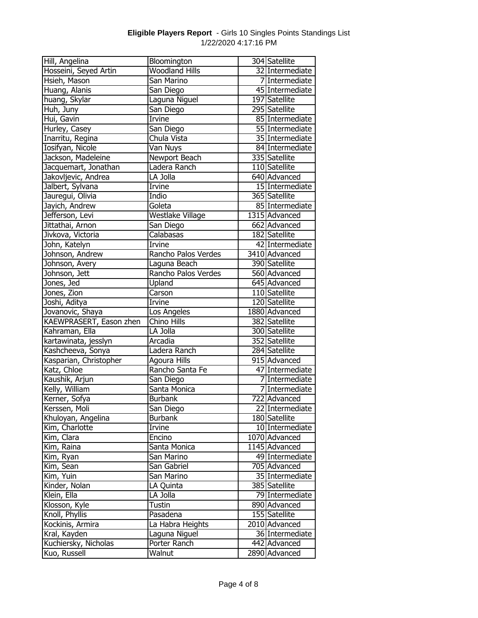| Hosseini, Seyed Artin<br>32 Intermediate<br>Hsieh, Mason<br>San Marino<br>7 Intermediate<br>Huang, Alanis<br>45 Intermediate<br>San Diego<br>Laguna Niguel<br>huang, Skylar<br>197 Satellite<br>295 Satellite<br>San Diego<br>Huh, Juny<br><b>Irvine</b><br>85 Intermediate<br>Hui, Gavin<br>Hurley, Casey<br>55 Intermediate<br>San Diego<br>Inarritu, Regina<br>Chula Vista<br>35 Intermediate<br>Iosifyan, Nicole<br>Van Nuys<br>84 Intermediate<br>Jackson, Madeleine<br>335 Satellite<br>Newport Beach<br>Ladera Ranch<br>Jacquemart, Jonathan<br>110 Satellite<br>Jakovljevic, Andrea<br>LA Jolla<br>640 Advanced<br>15 Intermediate<br>Jalbert, Sylvana<br>Irvine<br>365 Satellite<br>Jauregui, Olivia<br>Indio<br>85 Intermediate<br>Jayich, Andrew<br>Goleta<br>1315 Advanced<br>Westlake Village<br>Jefferson, Levi<br>Jittathai, Arnon<br>662 Advanced<br>San Diego<br>182 Satellite<br>Jivkova, Victoria<br>Calabasas<br>John, Katelyn<br>42 Intermediate<br>Irvine<br>3410 Advanced<br>Johnson, Andrew<br>Rancho Palos Verdes<br>390 Satellite<br>Laguna Beach<br>Johnson, Avery<br>Rancho Palos Verdes<br>560 Advanced<br>Johnson, Jett<br>Jones, Jed<br>Upland<br>645 Advanced<br>Jones, Zion<br>110 Satellite<br>Carson<br>Joshi, Aditya<br><b>Irvine</b><br>120 Satellite<br>Jovanovic, Shaya<br>1880 Advanced<br>Los Angeles<br>KAEWPRASERT, Eason zhen<br>Chino Hills<br>382 Satellite<br>300 Satellite<br>Kahraman, Ella<br>LA Jolla<br>352 Satellite<br>kartawinata, jesslyn<br>Arcadia<br>Kashcheeva, Sonya<br>284 Satellite<br>Ladera Ranch<br>915 Advanced<br>Kasparian, Christopher<br>Agoura Hills<br>Rancho Santa Fe<br>Katz, Chloe<br>47 Intermediate<br>Kaushik, Arjun<br>San Diego<br>7 Intermediate<br>Kelly, William<br>Santa Monica<br>7 Intermediate<br>722 Advanced<br>Kerner, Sofya<br><b>Burbank</b><br>22 Intermediate<br>Kerssen, Moli<br>San Diego<br>180 Satellite<br>Khuloyan, Angelina<br><b>Burbank</b><br>Kim, Charlotte<br>Irvine<br>10 Intermediate<br>Kim, Clara<br>Encino<br>1070 Advanced<br>1145 Advanced<br>Kim, Raina<br>Santa Monica<br>49 Intermediate<br>Kim, Ryan<br>San Marino<br>Kim, Sean<br>San Gabriel<br>705 Advanced<br>Kim, Yuin<br>35 Intermediate<br>San Marino<br>385 Satellite<br>Kinder, Nolan<br>LA Quinta<br>Klein, Ella<br>LA Jolla<br>79 Intermediate<br>890 Advanced<br>Klosson, Kyle<br>Tustin<br>155 Satellite<br>Knoll, Phyllis<br>Pasadena<br>Kockinis, Armira<br>La Habra Heights<br>2010 Advanced<br>Kral, Kayden<br>Laguna Niguel<br>36 Intermediate<br>Kuchiersky, Nicholas<br>Porter Ranch<br>442 Advanced<br>Kuo, Russell<br>2890 Advanced | Hill, Angelina | Bloomington           | 304 Satellite |
|---------------------------------------------------------------------------------------------------------------------------------------------------------------------------------------------------------------------------------------------------------------------------------------------------------------------------------------------------------------------------------------------------------------------------------------------------------------------------------------------------------------------------------------------------------------------------------------------------------------------------------------------------------------------------------------------------------------------------------------------------------------------------------------------------------------------------------------------------------------------------------------------------------------------------------------------------------------------------------------------------------------------------------------------------------------------------------------------------------------------------------------------------------------------------------------------------------------------------------------------------------------------------------------------------------------------------------------------------------------------------------------------------------------------------------------------------------------------------------------------------------------------------------------------------------------------------------------------------------------------------------------------------------------------------------------------------------------------------------------------------------------------------------------------------------------------------------------------------------------------------------------------------------------------------------------------------------------------------------------------------------------------------------------------------------------------------------------------------------------------------------------------------------------------------------------------------------------------------------------------------------------------------------------------------------------------------------------------------------------------------------------------------------------------------------------------------------------------------------------------------------------------------------------------------------------------------------------------------------------------------------|----------------|-----------------------|---------------|
|                                                                                                                                                                                                                                                                                                                                                                                                                                                                                                                                                                                                                                                                                                                                                                                                                                                                                                                                                                                                                                                                                                                                                                                                                                                                                                                                                                                                                                                                                                                                                                                                                                                                                                                                                                                                                                                                                                                                                                                                                                                                                                                                                                                                                                                                                                                                                                                                                                                                                                                                                                                                                                 |                | <b>Woodland Hills</b> |               |
|                                                                                                                                                                                                                                                                                                                                                                                                                                                                                                                                                                                                                                                                                                                                                                                                                                                                                                                                                                                                                                                                                                                                                                                                                                                                                                                                                                                                                                                                                                                                                                                                                                                                                                                                                                                                                                                                                                                                                                                                                                                                                                                                                                                                                                                                                                                                                                                                                                                                                                                                                                                                                                 |                |                       |               |
|                                                                                                                                                                                                                                                                                                                                                                                                                                                                                                                                                                                                                                                                                                                                                                                                                                                                                                                                                                                                                                                                                                                                                                                                                                                                                                                                                                                                                                                                                                                                                                                                                                                                                                                                                                                                                                                                                                                                                                                                                                                                                                                                                                                                                                                                                                                                                                                                                                                                                                                                                                                                                                 |                |                       |               |
|                                                                                                                                                                                                                                                                                                                                                                                                                                                                                                                                                                                                                                                                                                                                                                                                                                                                                                                                                                                                                                                                                                                                                                                                                                                                                                                                                                                                                                                                                                                                                                                                                                                                                                                                                                                                                                                                                                                                                                                                                                                                                                                                                                                                                                                                                                                                                                                                                                                                                                                                                                                                                                 |                |                       |               |
|                                                                                                                                                                                                                                                                                                                                                                                                                                                                                                                                                                                                                                                                                                                                                                                                                                                                                                                                                                                                                                                                                                                                                                                                                                                                                                                                                                                                                                                                                                                                                                                                                                                                                                                                                                                                                                                                                                                                                                                                                                                                                                                                                                                                                                                                                                                                                                                                                                                                                                                                                                                                                                 |                |                       |               |
|                                                                                                                                                                                                                                                                                                                                                                                                                                                                                                                                                                                                                                                                                                                                                                                                                                                                                                                                                                                                                                                                                                                                                                                                                                                                                                                                                                                                                                                                                                                                                                                                                                                                                                                                                                                                                                                                                                                                                                                                                                                                                                                                                                                                                                                                                                                                                                                                                                                                                                                                                                                                                                 |                |                       |               |
|                                                                                                                                                                                                                                                                                                                                                                                                                                                                                                                                                                                                                                                                                                                                                                                                                                                                                                                                                                                                                                                                                                                                                                                                                                                                                                                                                                                                                                                                                                                                                                                                                                                                                                                                                                                                                                                                                                                                                                                                                                                                                                                                                                                                                                                                                                                                                                                                                                                                                                                                                                                                                                 |                |                       |               |
|                                                                                                                                                                                                                                                                                                                                                                                                                                                                                                                                                                                                                                                                                                                                                                                                                                                                                                                                                                                                                                                                                                                                                                                                                                                                                                                                                                                                                                                                                                                                                                                                                                                                                                                                                                                                                                                                                                                                                                                                                                                                                                                                                                                                                                                                                                                                                                                                                                                                                                                                                                                                                                 |                |                       |               |
|                                                                                                                                                                                                                                                                                                                                                                                                                                                                                                                                                                                                                                                                                                                                                                                                                                                                                                                                                                                                                                                                                                                                                                                                                                                                                                                                                                                                                                                                                                                                                                                                                                                                                                                                                                                                                                                                                                                                                                                                                                                                                                                                                                                                                                                                                                                                                                                                                                                                                                                                                                                                                                 |                |                       |               |
|                                                                                                                                                                                                                                                                                                                                                                                                                                                                                                                                                                                                                                                                                                                                                                                                                                                                                                                                                                                                                                                                                                                                                                                                                                                                                                                                                                                                                                                                                                                                                                                                                                                                                                                                                                                                                                                                                                                                                                                                                                                                                                                                                                                                                                                                                                                                                                                                                                                                                                                                                                                                                                 |                |                       |               |
|                                                                                                                                                                                                                                                                                                                                                                                                                                                                                                                                                                                                                                                                                                                                                                                                                                                                                                                                                                                                                                                                                                                                                                                                                                                                                                                                                                                                                                                                                                                                                                                                                                                                                                                                                                                                                                                                                                                                                                                                                                                                                                                                                                                                                                                                                                                                                                                                                                                                                                                                                                                                                                 |                |                       |               |
|                                                                                                                                                                                                                                                                                                                                                                                                                                                                                                                                                                                                                                                                                                                                                                                                                                                                                                                                                                                                                                                                                                                                                                                                                                                                                                                                                                                                                                                                                                                                                                                                                                                                                                                                                                                                                                                                                                                                                                                                                                                                                                                                                                                                                                                                                                                                                                                                                                                                                                                                                                                                                                 |                |                       |               |
|                                                                                                                                                                                                                                                                                                                                                                                                                                                                                                                                                                                                                                                                                                                                                                                                                                                                                                                                                                                                                                                                                                                                                                                                                                                                                                                                                                                                                                                                                                                                                                                                                                                                                                                                                                                                                                                                                                                                                                                                                                                                                                                                                                                                                                                                                                                                                                                                                                                                                                                                                                                                                                 |                |                       |               |
|                                                                                                                                                                                                                                                                                                                                                                                                                                                                                                                                                                                                                                                                                                                                                                                                                                                                                                                                                                                                                                                                                                                                                                                                                                                                                                                                                                                                                                                                                                                                                                                                                                                                                                                                                                                                                                                                                                                                                                                                                                                                                                                                                                                                                                                                                                                                                                                                                                                                                                                                                                                                                                 |                |                       |               |
|                                                                                                                                                                                                                                                                                                                                                                                                                                                                                                                                                                                                                                                                                                                                                                                                                                                                                                                                                                                                                                                                                                                                                                                                                                                                                                                                                                                                                                                                                                                                                                                                                                                                                                                                                                                                                                                                                                                                                                                                                                                                                                                                                                                                                                                                                                                                                                                                                                                                                                                                                                                                                                 |                |                       |               |
|                                                                                                                                                                                                                                                                                                                                                                                                                                                                                                                                                                                                                                                                                                                                                                                                                                                                                                                                                                                                                                                                                                                                                                                                                                                                                                                                                                                                                                                                                                                                                                                                                                                                                                                                                                                                                                                                                                                                                                                                                                                                                                                                                                                                                                                                                                                                                                                                                                                                                                                                                                                                                                 |                |                       |               |
|                                                                                                                                                                                                                                                                                                                                                                                                                                                                                                                                                                                                                                                                                                                                                                                                                                                                                                                                                                                                                                                                                                                                                                                                                                                                                                                                                                                                                                                                                                                                                                                                                                                                                                                                                                                                                                                                                                                                                                                                                                                                                                                                                                                                                                                                                                                                                                                                                                                                                                                                                                                                                                 |                |                       |               |
|                                                                                                                                                                                                                                                                                                                                                                                                                                                                                                                                                                                                                                                                                                                                                                                                                                                                                                                                                                                                                                                                                                                                                                                                                                                                                                                                                                                                                                                                                                                                                                                                                                                                                                                                                                                                                                                                                                                                                                                                                                                                                                                                                                                                                                                                                                                                                                                                                                                                                                                                                                                                                                 |                |                       |               |
|                                                                                                                                                                                                                                                                                                                                                                                                                                                                                                                                                                                                                                                                                                                                                                                                                                                                                                                                                                                                                                                                                                                                                                                                                                                                                                                                                                                                                                                                                                                                                                                                                                                                                                                                                                                                                                                                                                                                                                                                                                                                                                                                                                                                                                                                                                                                                                                                                                                                                                                                                                                                                                 |                |                       |               |
|                                                                                                                                                                                                                                                                                                                                                                                                                                                                                                                                                                                                                                                                                                                                                                                                                                                                                                                                                                                                                                                                                                                                                                                                                                                                                                                                                                                                                                                                                                                                                                                                                                                                                                                                                                                                                                                                                                                                                                                                                                                                                                                                                                                                                                                                                                                                                                                                                                                                                                                                                                                                                                 |                |                       |               |
|                                                                                                                                                                                                                                                                                                                                                                                                                                                                                                                                                                                                                                                                                                                                                                                                                                                                                                                                                                                                                                                                                                                                                                                                                                                                                                                                                                                                                                                                                                                                                                                                                                                                                                                                                                                                                                                                                                                                                                                                                                                                                                                                                                                                                                                                                                                                                                                                                                                                                                                                                                                                                                 |                |                       |               |
|                                                                                                                                                                                                                                                                                                                                                                                                                                                                                                                                                                                                                                                                                                                                                                                                                                                                                                                                                                                                                                                                                                                                                                                                                                                                                                                                                                                                                                                                                                                                                                                                                                                                                                                                                                                                                                                                                                                                                                                                                                                                                                                                                                                                                                                                                                                                                                                                                                                                                                                                                                                                                                 |                |                       |               |
|                                                                                                                                                                                                                                                                                                                                                                                                                                                                                                                                                                                                                                                                                                                                                                                                                                                                                                                                                                                                                                                                                                                                                                                                                                                                                                                                                                                                                                                                                                                                                                                                                                                                                                                                                                                                                                                                                                                                                                                                                                                                                                                                                                                                                                                                                                                                                                                                                                                                                                                                                                                                                                 |                |                       |               |
|                                                                                                                                                                                                                                                                                                                                                                                                                                                                                                                                                                                                                                                                                                                                                                                                                                                                                                                                                                                                                                                                                                                                                                                                                                                                                                                                                                                                                                                                                                                                                                                                                                                                                                                                                                                                                                                                                                                                                                                                                                                                                                                                                                                                                                                                                                                                                                                                                                                                                                                                                                                                                                 |                |                       |               |
|                                                                                                                                                                                                                                                                                                                                                                                                                                                                                                                                                                                                                                                                                                                                                                                                                                                                                                                                                                                                                                                                                                                                                                                                                                                                                                                                                                                                                                                                                                                                                                                                                                                                                                                                                                                                                                                                                                                                                                                                                                                                                                                                                                                                                                                                                                                                                                                                                                                                                                                                                                                                                                 |                |                       |               |
|                                                                                                                                                                                                                                                                                                                                                                                                                                                                                                                                                                                                                                                                                                                                                                                                                                                                                                                                                                                                                                                                                                                                                                                                                                                                                                                                                                                                                                                                                                                                                                                                                                                                                                                                                                                                                                                                                                                                                                                                                                                                                                                                                                                                                                                                                                                                                                                                                                                                                                                                                                                                                                 |                |                       |               |
|                                                                                                                                                                                                                                                                                                                                                                                                                                                                                                                                                                                                                                                                                                                                                                                                                                                                                                                                                                                                                                                                                                                                                                                                                                                                                                                                                                                                                                                                                                                                                                                                                                                                                                                                                                                                                                                                                                                                                                                                                                                                                                                                                                                                                                                                                                                                                                                                                                                                                                                                                                                                                                 |                |                       |               |
|                                                                                                                                                                                                                                                                                                                                                                                                                                                                                                                                                                                                                                                                                                                                                                                                                                                                                                                                                                                                                                                                                                                                                                                                                                                                                                                                                                                                                                                                                                                                                                                                                                                                                                                                                                                                                                                                                                                                                                                                                                                                                                                                                                                                                                                                                                                                                                                                                                                                                                                                                                                                                                 |                |                       |               |
|                                                                                                                                                                                                                                                                                                                                                                                                                                                                                                                                                                                                                                                                                                                                                                                                                                                                                                                                                                                                                                                                                                                                                                                                                                                                                                                                                                                                                                                                                                                                                                                                                                                                                                                                                                                                                                                                                                                                                                                                                                                                                                                                                                                                                                                                                                                                                                                                                                                                                                                                                                                                                                 |                |                       |               |
|                                                                                                                                                                                                                                                                                                                                                                                                                                                                                                                                                                                                                                                                                                                                                                                                                                                                                                                                                                                                                                                                                                                                                                                                                                                                                                                                                                                                                                                                                                                                                                                                                                                                                                                                                                                                                                                                                                                                                                                                                                                                                                                                                                                                                                                                                                                                                                                                                                                                                                                                                                                                                                 |                |                       |               |
|                                                                                                                                                                                                                                                                                                                                                                                                                                                                                                                                                                                                                                                                                                                                                                                                                                                                                                                                                                                                                                                                                                                                                                                                                                                                                                                                                                                                                                                                                                                                                                                                                                                                                                                                                                                                                                                                                                                                                                                                                                                                                                                                                                                                                                                                                                                                                                                                                                                                                                                                                                                                                                 |                |                       |               |
|                                                                                                                                                                                                                                                                                                                                                                                                                                                                                                                                                                                                                                                                                                                                                                                                                                                                                                                                                                                                                                                                                                                                                                                                                                                                                                                                                                                                                                                                                                                                                                                                                                                                                                                                                                                                                                                                                                                                                                                                                                                                                                                                                                                                                                                                                                                                                                                                                                                                                                                                                                                                                                 |                |                       |               |
|                                                                                                                                                                                                                                                                                                                                                                                                                                                                                                                                                                                                                                                                                                                                                                                                                                                                                                                                                                                                                                                                                                                                                                                                                                                                                                                                                                                                                                                                                                                                                                                                                                                                                                                                                                                                                                                                                                                                                                                                                                                                                                                                                                                                                                                                                                                                                                                                                                                                                                                                                                                                                                 |                |                       |               |
|                                                                                                                                                                                                                                                                                                                                                                                                                                                                                                                                                                                                                                                                                                                                                                                                                                                                                                                                                                                                                                                                                                                                                                                                                                                                                                                                                                                                                                                                                                                                                                                                                                                                                                                                                                                                                                                                                                                                                                                                                                                                                                                                                                                                                                                                                                                                                                                                                                                                                                                                                                                                                                 |                |                       |               |
|                                                                                                                                                                                                                                                                                                                                                                                                                                                                                                                                                                                                                                                                                                                                                                                                                                                                                                                                                                                                                                                                                                                                                                                                                                                                                                                                                                                                                                                                                                                                                                                                                                                                                                                                                                                                                                                                                                                                                                                                                                                                                                                                                                                                                                                                                                                                                                                                                                                                                                                                                                                                                                 |                |                       |               |
|                                                                                                                                                                                                                                                                                                                                                                                                                                                                                                                                                                                                                                                                                                                                                                                                                                                                                                                                                                                                                                                                                                                                                                                                                                                                                                                                                                                                                                                                                                                                                                                                                                                                                                                                                                                                                                                                                                                                                                                                                                                                                                                                                                                                                                                                                                                                                                                                                                                                                                                                                                                                                                 |                |                       |               |
|                                                                                                                                                                                                                                                                                                                                                                                                                                                                                                                                                                                                                                                                                                                                                                                                                                                                                                                                                                                                                                                                                                                                                                                                                                                                                                                                                                                                                                                                                                                                                                                                                                                                                                                                                                                                                                                                                                                                                                                                                                                                                                                                                                                                                                                                                                                                                                                                                                                                                                                                                                                                                                 |                |                       |               |
|                                                                                                                                                                                                                                                                                                                                                                                                                                                                                                                                                                                                                                                                                                                                                                                                                                                                                                                                                                                                                                                                                                                                                                                                                                                                                                                                                                                                                                                                                                                                                                                                                                                                                                                                                                                                                                                                                                                                                                                                                                                                                                                                                                                                                                                                                                                                                                                                                                                                                                                                                                                                                                 |                |                       |               |
|                                                                                                                                                                                                                                                                                                                                                                                                                                                                                                                                                                                                                                                                                                                                                                                                                                                                                                                                                                                                                                                                                                                                                                                                                                                                                                                                                                                                                                                                                                                                                                                                                                                                                                                                                                                                                                                                                                                                                                                                                                                                                                                                                                                                                                                                                                                                                                                                                                                                                                                                                                                                                                 |                |                       |               |
|                                                                                                                                                                                                                                                                                                                                                                                                                                                                                                                                                                                                                                                                                                                                                                                                                                                                                                                                                                                                                                                                                                                                                                                                                                                                                                                                                                                                                                                                                                                                                                                                                                                                                                                                                                                                                                                                                                                                                                                                                                                                                                                                                                                                                                                                                                                                                                                                                                                                                                                                                                                                                                 |                |                       |               |
|                                                                                                                                                                                                                                                                                                                                                                                                                                                                                                                                                                                                                                                                                                                                                                                                                                                                                                                                                                                                                                                                                                                                                                                                                                                                                                                                                                                                                                                                                                                                                                                                                                                                                                                                                                                                                                                                                                                                                                                                                                                                                                                                                                                                                                                                                                                                                                                                                                                                                                                                                                                                                                 |                |                       |               |
|                                                                                                                                                                                                                                                                                                                                                                                                                                                                                                                                                                                                                                                                                                                                                                                                                                                                                                                                                                                                                                                                                                                                                                                                                                                                                                                                                                                                                                                                                                                                                                                                                                                                                                                                                                                                                                                                                                                                                                                                                                                                                                                                                                                                                                                                                                                                                                                                                                                                                                                                                                                                                                 |                |                       |               |
|                                                                                                                                                                                                                                                                                                                                                                                                                                                                                                                                                                                                                                                                                                                                                                                                                                                                                                                                                                                                                                                                                                                                                                                                                                                                                                                                                                                                                                                                                                                                                                                                                                                                                                                                                                                                                                                                                                                                                                                                                                                                                                                                                                                                                                                                                                                                                                                                                                                                                                                                                                                                                                 |                |                       |               |
|                                                                                                                                                                                                                                                                                                                                                                                                                                                                                                                                                                                                                                                                                                                                                                                                                                                                                                                                                                                                                                                                                                                                                                                                                                                                                                                                                                                                                                                                                                                                                                                                                                                                                                                                                                                                                                                                                                                                                                                                                                                                                                                                                                                                                                                                                                                                                                                                                                                                                                                                                                                                                                 |                |                       |               |
|                                                                                                                                                                                                                                                                                                                                                                                                                                                                                                                                                                                                                                                                                                                                                                                                                                                                                                                                                                                                                                                                                                                                                                                                                                                                                                                                                                                                                                                                                                                                                                                                                                                                                                                                                                                                                                                                                                                                                                                                                                                                                                                                                                                                                                                                                                                                                                                                                                                                                                                                                                                                                                 |                |                       |               |
|                                                                                                                                                                                                                                                                                                                                                                                                                                                                                                                                                                                                                                                                                                                                                                                                                                                                                                                                                                                                                                                                                                                                                                                                                                                                                                                                                                                                                                                                                                                                                                                                                                                                                                                                                                                                                                                                                                                                                                                                                                                                                                                                                                                                                                                                                                                                                                                                                                                                                                                                                                                                                                 |                |                       |               |
|                                                                                                                                                                                                                                                                                                                                                                                                                                                                                                                                                                                                                                                                                                                                                                                                                                                                                                                                                                                                                                                                                                                                                                                                                                                                                                                                                                                                                                                                                                                                                                                                                                                                                                                                                                                                                                                                                                                                                                                                                                                                                                                                                                                                                                                                                                                                                                                                                                                                                                                                                                                                                                 |                |                       |               |
|                                                                                                                                                                                                                                                                                                                                                                                                                                                                                                                                                                                                                                                                                                                                                                                                                                                                                                                                                                                                                                                                                                                                                                                                                                                                                                                                                                                                                                                                                                                                                                                                                                                                                                                                                                                                                                                                                                                                                                                                                                                                                                                                                                                                                                                                                                                                                                                                                                                                                                                                                                                                                                 |                |                       |               |
|                                                                                                                                                                                                                                                                                                                                                                                                                                                                                                                                                                                                                                                                                                                                                                                                                                                                                                                                                                                                                                                                                                                                                                                                                                                                                                                                                                                                                                                                                                                                                                                                                                                                                                                                                                                                                                                                                                                                                                                                                                                                                                                                                                                                                                                                                                                                                                                                                                                                                                                                                                                                                                 |                |                       |               |
|                                                                                                                                                                                                                                                                                                                                                                                                                                                                                                                                                                                                                                                                                                                                                                                                                                                                                                                                                                                                                                                                                                                                                                                                                                                                                                                                                                                                                                                                                                                                                                                                                                                                                                                                                                                                                                                                                                                                                                                                                                                                                                                                                                                                                                                                                                                                                                                                                                                                                                                                                                                                                                 |                |                       |               |
|                                                                                                                                                                                                                                                                                                                                                                                                                                                                                                                                                                                                                                                                                                                                                                                                                                                                                                                                                                                                                                                                                                                                                                                                                                                                                                                                                                                                                                                                                                                                                                                                                                                                                                                                                                                                                                                                                                                                                                                                                                                                                                                                                                                                                                                                                                                                                                                                                                                                                                                                                                                                                                 |                | Walnut                |               |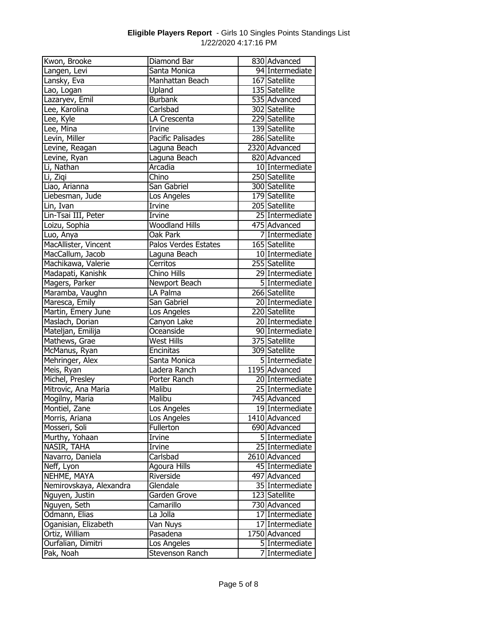| Kwon, Brooke            | Diamond Bar              | 830 Advanced    |
|-------------------------|--------------------------|-----------------|
| Langen, Levi            | Santa Monica             | 94 Intermediate |
| Lansky, Eva             | Manhattan Beach          | 167 Satellite   |
| Lao, Logan              | Upland                   | 135 Satellite   |
| Lazaryev, Emil          | <b>Burbank</b>           | 535 Advanced    |
| Lee, Karolina           | Carlsbad                 | 302 Satellite   |
| Lee, Kyle               | LA Crescenta             | 229 Satellite   |
| Lee, Mina               | <b>Irvine</b>            | 139 Satellite   |
| Levin, Miller           | <b>Pacific Palisades</b> | 286 Satellite   |
| Levine, Reagan          | Laguna Beach             | 2320 Advanced   |
| Levine, Ryan            | Laguna Beach             | 820 Advanced    |
| Li, Nathan              | Arcadia                  | 10 Intermediate |
| Li, Ziqi                | Chino                    | 250 Satellite   |
| Liao, Arianna           | San Gabriel              | 300 Satellite   |
| Liebesman, Jude         | Los Angeles              | 179 Satellite   |
| Lin, Ivan               | Irvine                   | 205 Satellite   |
| Lin-Tsai III, Peter     | Irvine                   | 25 Intermediate |
| Loizu, Sophia           | <b>Woodland Hills</b>    | 475 Advanced    |
| Luo, Anya               | Oak Park                 | 7 Intermediate  |
| MacAllister, Vincent    | Palos Verdes Estates     | 165 Satellite   |
| MacCallum, Jacob        | Laguna Beach             | 10 Intermediate |
| Machikawa, Valerie      | Cerritos                 | 255 Satellite   |
| Madapati, Kanishk       | Chino Hills              | 29 Intermediate |
| Magers, Parker          | Newport Beach            | 5 Intermediate  |
| Maramba, Vaughn         | LA Palma                 | 266 Satellite   |
| Maresca, Emily          | San Gabriel              | 20 Intermediate |
| Martin, Emery June      | Los Angeles              | 220 Satellite   |
| Maslach, Dorian         | Canyon Lake              | 20 Intermediate |
| Mateljan, Emilija       | Oceanside                | 90 Intermediate |
| Mathews, Grae           | <b>West Hills</b>        | 375 Satellite   |
| McManus, Ryan           | Encinitas                | 309 Satellite   |
| Mehringer, Alex         | Santa Monica             | 5 Intermediate  |
| Meis, Ryan              | Ladera Ranch             | 1195 Advanced   |
| Michel, Presley         | Porter Ranch             | 20 Intermediate |
| Mitrovic, Ana Maria     | Malibu                   | 25 Intermediate |
| Mogilny, Maria          | Malibu                   | 745 Advanced    |
| Montiel, Zane           | Los Angeles              | 19 Intermediate |
| Morris, Ariana          | Los Angeles              | 1410 Advanced   |
| Mosseri, Soli           | Fullerton                | 690 Advanced    |
| Murthy, Yohaan          | Irvine                   | 5 Intermediate  |
| NASIR, TAHA             | Irvine                   | 25 Intermediate |
| Navarro, Daniela        | Carlsbad                 | 2610 Advanced   |
| Neff, Lyon              | Agoura Hills             | 45 Intermediate |
| NEHME, MAYA             | Riverside                | 497 Advanced    |
| Nemirovskaya, Alexandra | Glendale                 | 35 Intermediate |
| Nguyen, Justin          | Garden Grove             | 123 Satellite   |
| Nguyen, Seth            | Camarillo                | 730 Advanced    |
| Odmann, Elias           | La Jolla                 | 17 Intermediate |
| Oganisian, Elizabeth    | Van Nuys                 | 17 Intermediate |
| Ortiz, William          | Pasadena                 | 1750 Advanced   |
| Ourfalian, Dimitri      | Los Angeles              | 5 Intermediate  |
| Pak, Noah               | Stevenson Ranch          | 7 Intermediate  |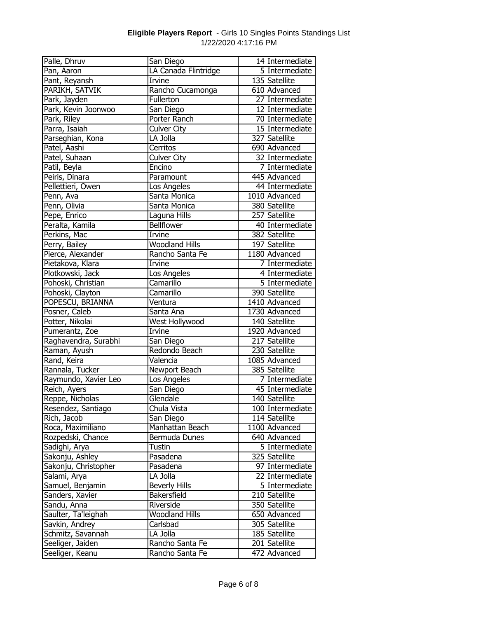| Palle, Dhruv         | San Diego             | 14 Intermediate  |
|----------------------|-----------------------|------------------|
| Pan, Aaron           | LA Canada Flintridge  | 5 Intermediate   |
| Pant, Reyansh        | Irvine                | 135 Satellite    |
| PARIKH, SATVIK       | Rancho Cucamonga      | 610 Advanced     |
| Park, Jayden         | Fullerton             | 27 Intermediate  |
| Park, Kevin Joonwoo  | San Diego             | 12 Intermediate  |
| Park, Riley          | <b>Porter Ranch</b>   | 70 Intermediate  |
| Parra, Isaiah        | <b>Culver City</b>    | 15 Intermediate  |
| Parseghian, Kona     | LA Jolla              | 327 Satellite    |
| Patel, Aashi         | Cerritos              | 690 Advanced     |
| Patel, Suhaan        | <b>Culver City</b>    | 32 Intermediate  |
| Patil, Beyla         | Encino                | 7 Intermediate   |
| Peiris, Dinara       | Paramount             | 445 Advanced     |
| Pellettieri, Owen    | Los Angeles           | 44 Intermediate  |
| Penn, Ava            | Santa Monica          | 1010 Advanced    |
| Penn, Olivia         | Santa Monica          | 380 Satellite    |
| Pepe, Enrico         | Laguna Hills          | 257 Satellite    |
| Peralta, Kamila      | Bellflower            | 40 Intermediate  |
| Perkins, Mac         | Irvine                | 382 Satellite    |
| Perry, Bailey        | <b>Woodland Hills</b> | 197 Satellite    |
| Pierce, Alexander    | Rancho Santa Fe       | 1180 Advanced    |
| Pietakova, Klara     | Irvine                | 7 Intermediate   |
| Plotkowski, Jack     | Los Angeles           | 4 Intermediate   |
| Pohoski, Christian   | Camarillo             | 5 Intermediate   |
| Pohoski, Clayton     | Camarillo             | 390 Satellite    |
| POPESCU, BRIANNA     | Ventura               | 1410 Advanced    |
| Posner, Caleb        | Santa Ana             | 1730 Advanced    |
| Potter, Nikolai      | West Hollywood        | 140 Satellite    |
| Pumerantz, Zoe       | Irvine                | 1920 Advanced    |
| Raghavendra, Surabhi | San Diego             | 217 Satellite    |
| Raman, Ayush         | Redondo Beach         | 230 Satellite    |
| Rand, Keira          | Valencia              | 1085 Advanced    |
| Rannala, Tucker      | Newport Beach         | 385 Satellite    |
| Raymundo, Xavier Leo | Los Angeles           | 7 Intermediate   |
| Reich, Ayers         | San Diego             | 45 Intermediate  |
| Reppe, Nicholas      | Glendale              | 140 Satellite    |
| Resendez, Santiago   | Chula Vista           | 100 Intermediate |
| Rich, Jacob          | San Diego             | 114 Satellite    |
| Roca, Maximiliano    | Manhattan Beach       | 1100 Advanced    |
| Rozpedski, Chance    | Bermuda Dunes         | 640 Advanced     |
| Sadighi, Arya        | Tustin                | 5 Intermediate   |
| Sakonju, Ashley      | Pasadena              | 325 Satellite    |
| Sakonju, Christopher | Pasadena              | 97 Intermediate  |
| Salami, Arya         | LA Jolla              | 22 Intermediate  |
| Samuel, Benjamin     | <b>Beverly Hills</b>  | 5 Intermediate   |
| Sanders, Xavier      | Bakersfield           | 210 Satellite    |
| Sandu, Anna          | Riverside             | 350 Satellite    |
| Saulter, Ta'leighah  | <b>Woodland Hills</b> | 650 Advanced     |
| Savkin, Andrey       | Carlsbad              | 305 Satellite    |
| Schmitz, Savannah    | LA Jolla              | 185 Satellite    |
| Seeliger, Jaiden     | Rancho Santa Fe       | 201 Satellite    |
| Seeliger, Keanu      | Rancho Santa Fe       | 472 Advanced     |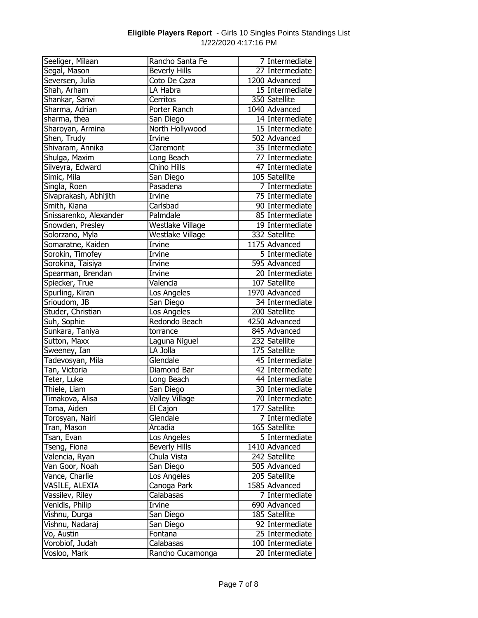| Seeliger, Milaan       | Rancho Santa Fe       | 7 Intermediate   |
|------------------------|-----------------------|------------------|
| Segal, Mason           | <b>Beverly Hills</b>  | 27 Intermediate  |
| Seversen, Julia        | Coto De Caza          | $1200$ Advanced  |
| Shah, Arham            | LA Habra              | 15 Intermediate  |
| Shankar, Sanvi         | Cerritos              | 350 Satellite    |
| Sharma, Adrian         | Porter Ranch          | 1040 Advanced    |
| sharma, thea           | San Diego             | 14 Intermediate  |
| Sharoyan, Armina       | North Hollywood       | 15 Intermediate  |
| Shen, Trudy            | Irvine                | 502 Advanced     |
| Shivaram, Annika       | Claremont             | 35 Intermediate  |
| Shulga, Maxim          | Long Beach            | 77 Intermediate  |
| Silveyra, Edward       | Chino Hills           | 47 Intermediate  |
| Simic, Mila            | San Diego             | 105 Satellite    |
| Singla, Roen           | Pasadena              | 7 Intermediate   |
| Sivaprakash, Abhijith  | Irvine                | 75 Intermediate  |
| Smith, Kiana           | Carlsbad              | 90 Intermediate  |
| Snissarenko, Alexander | Palmdale              | 85 Intermediate  |
| Snowden, Presley       | Westlake Village      | 19 Intermediate  |
| Solorzano, Myla        | Westlake Village      | 332 Satellite    |
| Somaratne, Kaiden      | Irvine                | 1175 Advanced    |
| Sorokin, Timofey       | Irvine                | 5 Intermediate   |
| Sorokina, Taisiya      | Irvine                | 595 Advanced     |
| Spearman, Brendan      | Irvine                | 20 Intermediate  |
| Spiecker, True         | Valencia              | 107 Satellite    |
| Spurling, Kiran        | Los Angeles           | 1970 Advanced    |
| Srioudom, JB           | San Diego             | 34 Intermediate  |
| Studer, Christian      | Los Angeles           | 200 Satellite    |
| Suh, Sophie            | Redondo Beach         | 4250 Advanced    |
| Sunkara, Taniya        | torrance              | 845 Advanced     |
| Sutton, Maxx           | Laguna Niguel         | 232 Satellite    |
| Sweeney, Ian           | LA Jolla              | 175 Satellite    |
| Tadevosyan, Mila       | Glendale              | 45 Intermediate  |
| Tan, Victoria          | Diamond Bar           | 42 Intermediate  |
| Teter, Luke            | Long Beach            | 44 Intermediate  |
| Thiele, Liam           | San Diego             | 30 Intermediate  |
| Timakova, Alisa        | <b>Valley Village</b> | 70 Intermediate  |
| Toma, Aiden            | El Cajon              | 177 Satellite    |
| Torosyan, Nairi        | Glendale              | 7 Intermediate   |
| Tran, Mason            | Arcadia               | 165 Satellite    |
| Tsan, Evan             | Los Angeles           | 5 Intermediate   |
| Tseng, Fiona           | <b>Beverly Hills</b>  | 1410 Advanced    |
| Valencia, Ryan         | Chula Vista           | 242 Satellite    |
| Van Goor, Noah         | San Diego             | 505 Advanced     |
| Vance, Charlie         | Los Angeles           | 205 Satellite    |
| VASILE, ALEXIA         | Canoga Park           | 1585 Advanced    |
| Vassilev, Riley        | Calabasas             | 7 Intermediate   |
| Venidis, Philip        | Irvine                | 690 Advanced     |
| Vishnu, Durga          | San Diego             | 185 Satellite    |
| Vishnu, Nadaraj        | San Diego             | 92 Intermediate  |
| Vo, Austin             | Fontana               | 25 Intermediate  |
| Vorobiof, Judah        | Calabasas             | 100 Intermediate |
| Vosloo, Mark           | Rancho Cucamonga      | 20 Intermediate  |